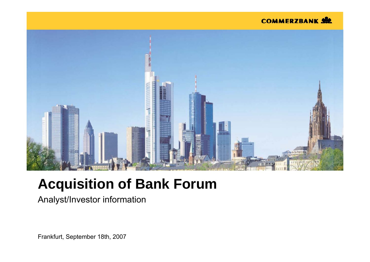#### **COMMERZBANK SEE**



## **Acquisition of Bank Forum**

Analyst/Investor information

Frankfurt, September 18th, 2007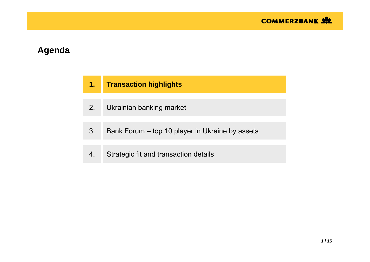| 1. | <b>Transaction highlights</b>                   |
|----|-------------------------------------------------|
| 2. | Ukrainian banking market                        |
| 3. | Bank Forum – top 10 player in Ukraine by assets |
|    | Strategic fit and transaction details           |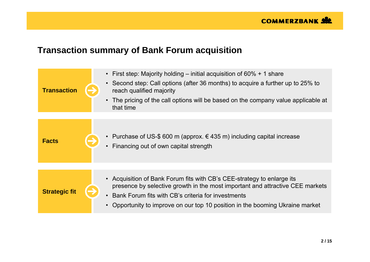### **Transaction summary of Bank Forum acquisition**

| <b>Transaction</b>   | • First step: Majority holding – initial acquisition of $60\%$ + 1 share<br>Second step: Call options (after 36 months) to acquire a further up to 25% to<br>$\bullet$<br>reach qualified majority<br>The pricing of the call options will be based on the company value applicable at<br>$\bullet$<br>that time |
|----------------------|------------------------------------------------------------------------------------------------------------------------------------------------------------------------------------------------------------------------------------------------------------------------------------------------------------------|
| <b>Facts</b>         | • Purchase of US-\$ 600 m (approx. $\in$ 435 m) including capital increase<br>Financing out of own capital strength                                                                                                                                                                                              |
| <b>Strategic fit</b> | • Acquisition of Bank Forum fits with CB's CEE-strategy to enlarge its<br>presence by selective growth in the most important and attractive CEE markets<br>Bank Forum fits with CB's criteria for investments<br>Opportunity to improve on our top 10 position in the booming Ukraine market<br>$\bullet$        |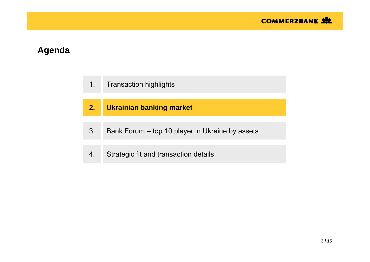- 1.Transaction highlights
- **2.Ukrainian banking market**
- 3.Bank Forum – top 10 player in Ukraine by assets
- 4.Strategic fit and transaction details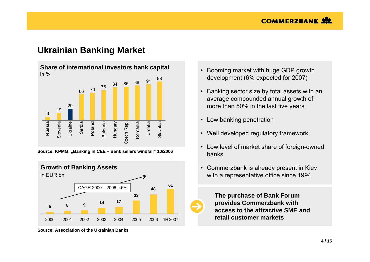### **Ukrainian Banking Market**



**Source: KPMG: "Banking in CEE – Bank sellers windfall" 10/2006**



**Source: Association of the Ukrainian Banks**

- Booming market with huge GDP growth development (6% expected for 2007)
- Banking sector size by total assets with an average compounded annual growth of more than 50% in the last five years
- •Low banking penetration
- Well developed regulatory framework
- Low level of market share of foreign-owned banks
- Commerzbank is already present in Kiev with a representative office since 1994



**The purchase of Bank Forum provides Commerzbank with access to the attractive SME and retail customer markets**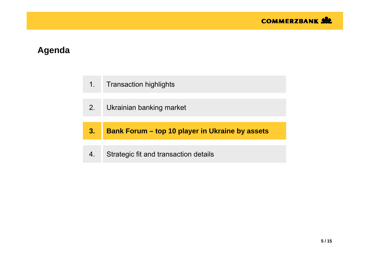- 1.Transaction highlights
- 2.Ukrainian banking market
- **3. Bank Forum – top 10 player in Ukraine by assets**
- 4.Strategic fit and transaction details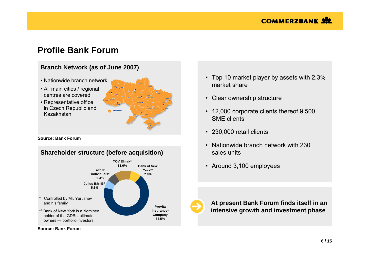### **Profile Bank Forum**

#### **Branch Network (as of June 2007)**

- Nationwide branch network
- All main cities / regional centres are covered
- Representative office in Czech Republic and Kazakhstan



**Source: Bank Forum**

#### **Shareholder structure (before acquisition)**



• Top 10 market player by assets with 2.3% market share

- Clear ownership structure
- 12,000 corporate clients thereof 9,500 SME clients
- 230,000 retail clients
- Nationwide branch network with 230 sales units
- Around 3,100 employees



**At present Bank Forum finds itself in an intensive growth and investment phase**

**Source: Bank Forum**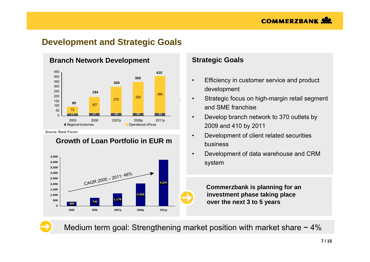### **Development and Strategic Goals**



#### 22%ch Network Developi **Branch Network Development**

Source: Bank Forum

#### **Growth of Loan Portfolio in EUR m**



#### **Strategic Goals**

- • Efficiency in customer service and product development
- • Strategic focus on high-margin retail segment and SME franchise
- • Develop branch network to 370 outlets by 2009 and 410 by 2011
- • Development of client related securities business
- • Development of data warehouse and CRM system

**Commerzbank is planning for an investment phase taking place over the next 3 to 5 years**

Medium term goal: Strengthening market position with market share  $\sim$  4%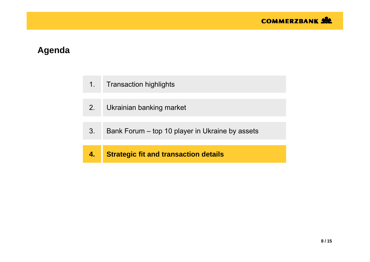- 1.Transaction highlights
- 2.Ukrainian banking market
- 3.Bank Forum – top 10 player in Ukraine by assets
- **4.Strategic fit and transaction details**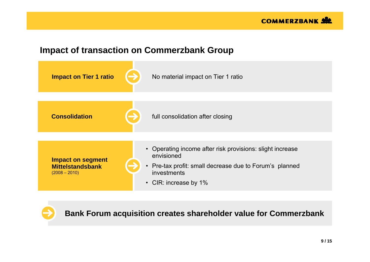### **Impact of transaction on Commerzbank Group**



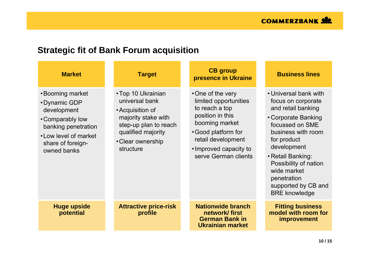### **Strategic fit of Bank Forum acquisition**

| <b>Market</b>                                                                                                                                           | <b>Target</b>                                                                                                                                                    | <b>CB</b> group<br>presence in Ukraine                                                                                                                                                           | <b>Business lines</b>                                                                                                                                                                                                                                                                      |
|---------------------------------------------------------------------------------------------------------------------------------------------------------|------------------------------------------------------------------------------------------------------------------------------------------------------------------|--------------------------------------------------------------------------------------------------------------------------------------------------------------------------------------------------|--------------------------------------------------------------------------------------------------------------------------------------------------------------------------------------------------------------------------------------------------------------------------------------------|
| •Booming market<br>• Dynamic GDP<br>development<br>• Comparably low<br>banking penetration<br>• Low level of market<br>share of foreign-<br>owned banks | • Top 10 Ukrainian<br>universal bank<br>• Acquisition of<br>majority stake with<br>step-up plan to reach<br>qualified majority<br>• Clear ownership<br>structure | •One of the very<br>limited opportunities<br>to reach a top<br>position in this<br>booming market<br>• Good platform for<br>retail development<br>• Improved capacity to<br>serve German clients | • Universal bank with<br>focus on corporate<br>and retail banking<br>• Corporate Banking<br>focussed on SME<br>business with room<br>for product<br>development<br>• Retail Banking:<br>Possibility of nation<br>wide market<br>penetration<br>supported by CB and<br><b>BRE</b> knowledge |
| <b>Huge upside</b><br>potential                                                                                                                         | <b>Attractive price-risk</b><br>profile                                                                                                                          | <b>Nationwide branch</b><br>network/first<br><b>German Bank in</b><br>Ukrainian market                                                                                                           | <b>Fitting business</b><br>model with room for<br><i>improvement</i>                                                                                                                                                                                                                       |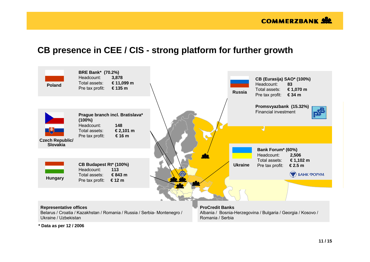### **CB presence in CEE / CIS - strong platform for further growth**



**\* Data as per 12 / 2006**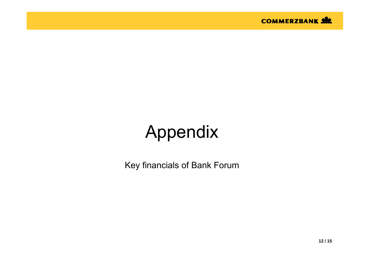# Appendix

Key financials of Bank Forum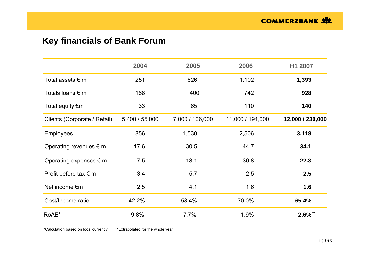### **Key financials of Bank Forum**

|                                 | 2004           | 2005            | 2006             | H1 2007          |
|---------------------------------|----------------|-----------------|------------------|------------------|
| Total assets $\epsilon$ m       | 251            | 626             | 1,102            | 1,393            |
| Totals loans $\epsilon$ m       | 168            | 400             | 742              | 928              |
| Total equity $\notin$ m         | 33             | 65              | 110              | 140              |
| Clients (Corporate / Retail)    | 5,400 / 55,000 | 7,000 / 106,000 | 11,000 / 191,000 | 12,000 / 230,000 |
| <b>Employees</b>                | 856            | 1,530           | 2,506            | 3,118            |
| Operating revenues $\epsilon$ m | 17.6           | 30.5            | 44.7             | 34.1             |
| Operating expenses $\epsilon$ m | $-7.5$         | $-18.1$         | $-30.8$          | $-22.3$          |
| Profit before tax $\epsilon$ m  | 3.4            | 5.7             | 2.5              | 2.5              |
| Net income $\epsilon$ m         | 2.5            | 4.1             | 1.6              | 1.6              |
| Cost/Income ratio               | 42.2%          | 58.4%           | 70.0%            | 65.4%            |
| RoAE*                           | 9.8%           | 7.7%            | 1.9%             | $2.6\%$ **       |

\*Calculation based on local currency \*\*Extrapolated for the whole year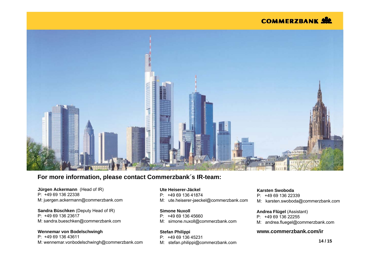#### **COMMERZBANK SW**



#### **For more information, please contact Commerzbank´s IR-team:**

**Jürgen Ackermann** (Head of IR) P: +49 69 136 22338M: juergen.ackermann@commerzbank.com

#### **Sandra Büschken** (Deputy Head of IR) P: +49 69 136 23617M: sandra.bueschken@commerzbank.com

#### **Wennemar von Bodelschwingh**

P: +49 69 136 43611M: wennemar.vonbodelschwingh@commerzbank.com

#### **Ute Heiserer-Jäckel**

- P: +49 69 136 41874
- M: ute.heiserer-jaeckel@commerzbank.com

#### **Simone Nuxoll**

- P: +49 69 136 45660
- M: simone.nuxoll@commerzbank.com

#### **Stefan Philippi**

- P: +49 69 136 45231
- M: stefan.philippi@commerzbank.com

#### **Karsten Swoboda**

- P: +49 69 136 22339
- M: karsten.swoboda@commerzbank.com

#### **Andrea Flügel** (Assistant)

- P: +49 69 136 22255
- M: andrea.fluegel@commerzbank.com

#### **www.commerzbank.com/ir**